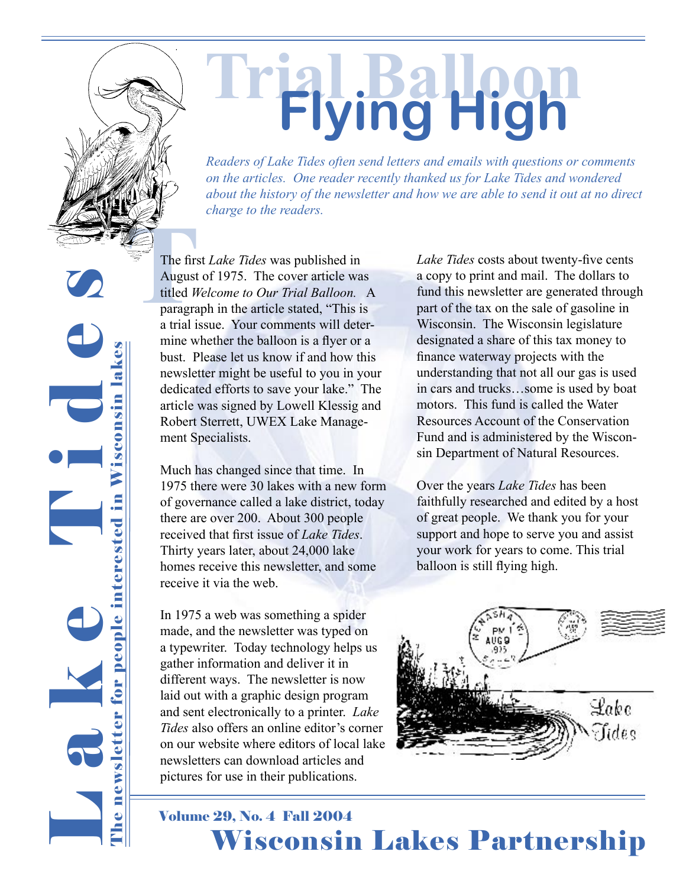

# **Trial Balloon Flying High**

*Readers of Lake Tides often send letters and emails with questions or comments on the articles. One reader recently thanked us for Lake Tides and wondered about the history of the newsletter and how we are able to send it out at no direct charge to the readers.*

L a k e T l d d s newsletter for people interested in Wisconsin lakes The newsletter for people interested in Wisconsin lakes Phe:

The first<br>
The first<br>
August<br>
titled *W*<br>
paragra<br>
a trial is The first *Lake Tides* was published in August of 1975. The cover article was titled *Welcome to Our Trial Balloon.* A paragraph in the article stated, "This is a trial issue. Your comments will determine whether the balloon is a flyer or a bust. Please let us know if and how this newsletter might be useful to you in your dedicated efforts to save your lake." The article was signed by Lowell Klessig and Robert Sterrett, UWEX Lake Management Specialists.

> Much has changed since that time. In 1975 there were 30 lakes with a new form of governance called a lake district, today there are over 200. About 300 people received that first issue of *Lake Tides*. Thirty years later, about 24,000 lake homes receive this newsletter, and some receive it via the web.

> In 1975 a web was something a spider made, and the newsletter was typed on a typewriter. Today technology helps us gather information and deliver it in different ways. The newsletter is now laid out with a graphic design program and sent electronically to a printer. *Lake Tides* also offers an online editor's corner on our website where editors of local lake newsletters can download articles and pictures for use in their publications.

*Lake Tides* costs about twenty-five cents a copy to print and mail. The dollars to fund this newsletter are generated through part of the tax on the sale of gasoline in Wisconsin. The Wisconsin legislature designated a share of this tax money to finance waterway projects with the understanding that not all our gas is used in cars and trucks…some is used by boat motors. This fund is called the Water Resources Account of the Conservation Fund and is administered by the Wisconsin Department of Natural Resources.

Over the years *Lake Tides* has been faithfully researched and edited by a host of great people. We thank you for your support and hope to serve you and assist your work for years to come. This trial balloon is still flying high.



1 **CARACTER 2004** Volume 29, No. 4 Fall 2004 Wisconsin Lakes Partnership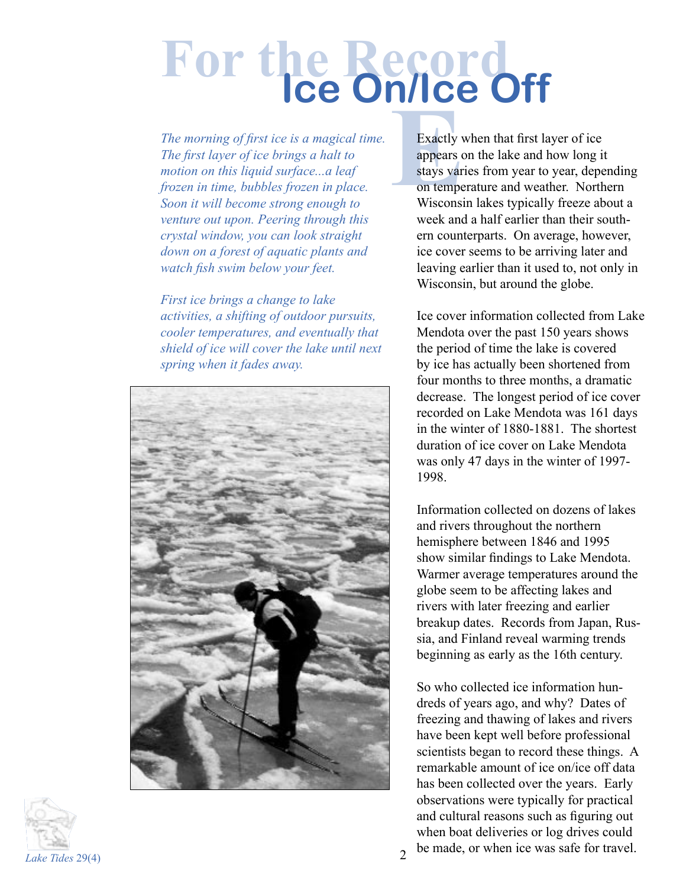# **For the Record Ice On/Ice Off**

*The morning of first ice is a magical time. The first layer of ice brings a halt to motion on this liquid surface...a leaf frozen in time, bubbles frozen in place. Soon it will become strong enough to venture out upon. Peering through this crystal window, you can look straight down on a forest of aquatic plants and watch fish swim below your feet.* 

*First ice brings a change to lake activities, a shifting of outdoor pursuits, cooler temperatures, and eventually that shield of ice will cover the lake until next spring when it fades away.* 





Exactly v<br>appears of<br>stays var<br>on tempe<br>Wisconsi Exactly when that first layer of ice appears on the lake and how long it stays varies from year to year, depending on temperature and weather. Northern Wisconsin lakes typically freeze about a week and a half earlier than their southern counterparts. On average, however, ice cover seems to be arriving later and leaving earlier than it used to, not only in Wisconsin, but around the globe.

Ice cover information collected from Lake Mendota over the past 150 years shows the period of time the lake is covered by ice has actually been shortened from four months to three months, a dramatic decrease. The longest period of ice cover recorded on Lake Mendota was 161 days in the winter of 1880-1881. The shortest duration of ice cover on Lake Mendota was only 47 days in the winter of 1997- 1998.

Information collected on dozens of lakes and rivers throughout the northern hemisphere between 1846 and 1995 show similar findings to Lake Mendota. Warmer average temperatures around the globe seem to be affecting lakes and rivers with later freezing and earlier breakup dates. Records from Japan, Russia, and Finland reveal warming trends beginning as early as the 16th century.

So who collected ice information hundreds of years ago, and why? Dates of freezing and thawing of lakes and rivers have been kept well before professional scientists began to record these things. A remarkable amount of ice on/ice off data has been collected over the years. Early observations were typically for practical and cultural reasons such as figuring out when boat deliveries or log drives could be made, or when ice was safe for travel.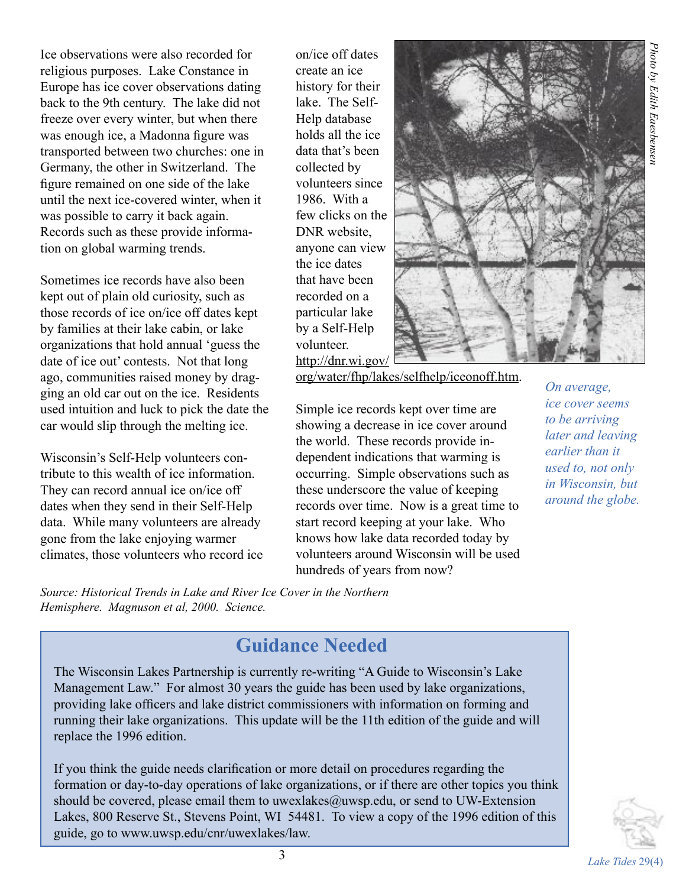Ice observations were also recorded for religious purposes. Lake Constance in Europe has ice cover observations dating back to the 9th century. The lake did not freeze over every winter, but when there was enough ice, a Madonna figure was transported between two churches: one in Germany, the other in Switzerland. The figure remained on one side of the lake until the next ice-covered winter, when it was possible to carry it back again. Records such as these provide information on global warming trends.

Sometimes ice records have also been kept out of plain old curiosity, such as those records of ice on/ice off dates kept by families at their lake cabin, or lake organizations that hold annual 'guess the date of ice out' contests. Not that long ago, communities raised money by dragging an old car out on the ice. Residents used intuition and luck to pick the date the car would slip through the melting ice.

Wisconsin's Self-Help volunteers contribute to this wealth of ice information. They can record annual ice on/ice off dates when they send in their Self-Help data. While many volunteers are already gone from the lake enjoying warmer climates, those volunteers who record ice on/ice off dates create an ice history for their lake. The Self-Help database holds all the ice data that's been collected by volunteers since 1986. With a few clicks on the DNR website, anyone can view the ice dates that have been recorded on a particular lake by a Self-Help volunteer. http://dnr.wi.gov/



org/water/fhp/lakes/selfhelp/iceonoff.htm.

Simple ice records kept over time are showing a decrease in ice cover around the world. These records provide independent indications that warming is occurring. Simple observations such as these underscore the value of keeping records over time. Now is a great time to start record keeping at your lake. Who knows how lake data recorded today by volunteers around Wisconsin will be used hundreds of years from now?

*On average, ice cover seems to be arriving later and leaving earlier than it used to, not only in Wisconsin, but around the globe.*

*Source: Historical Trends in Lake and River Ice Cover in the Northern Hemisphere. Magnuson et al, 2000. Science.* 

# **Guidance Needed**

The Wisconsin Lakes Partnership is currently re-writing "A Guide to Wisconsin's Lake Management Law." For almost 30 years the guide has been used by lake organizations, providing lake officers and lake district commissioners with information on forming and running their lake organizations. This update will be the 11th edition of the guide and will replace the 1996 edition.

If you think the guide needs clarification or more detail on procedures regarding the formation or day-to-day operations of lake organizations, or if there are other topics you think should be covered, please email them to uwexlakes@uwsp.edu, or send to UW-Extension Lakes, 800 Reserve St., Stevens Point, WI 54481. To view a copy of the 1996 edition of this guide, go to www.uwsp.edu/cnr/uwexlakes/law.

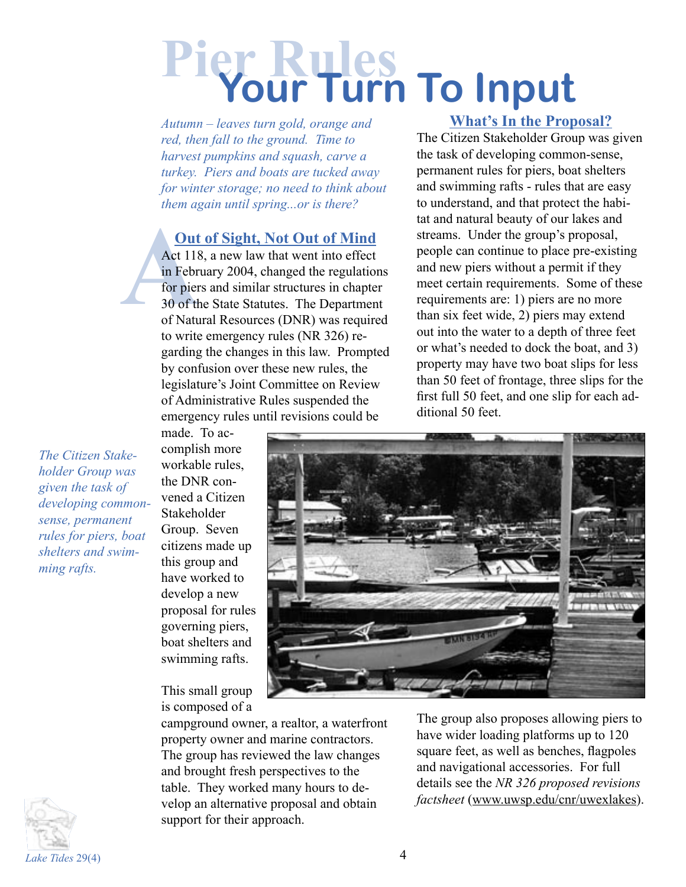# **Pier Rules Your Turn To Input**

*Autumn – leaves turn gold, orange and red, then fall to the ground. Time to harvest pumpkins and squash, carve a turkey. Piers and boats are tucked away for winter storage; no need to think about them again until spring...or is there?*

### **Out of Sight, Not Out of Mind**

**A**<br>
Act 118<br>
in Febr<br>
for pier<br>
30 of the of Nature Act 118, a new law that went into effect in February 2004, changed the regulations for piers and similar structures in chapter 30 of the State Statutes. The Department of Natural Resources (DNR) was required to write emergency rules (NR 326) regarding the changes in this law. Prompted by confusion over these new rules, the legislature's Joint Committee on Review of Administrative Rules suspended the emergency rules until revisions could be

#### **What's In the Proposal?**

The Citizen Stakeholder Group was given the task of developing common-sense, permanent rules for piers, boat shelters and swimming rafts - rules that are easy to understand, and that protect the habitat and natural beauty of our lakes and streams. Under the group's proposal, people can continue to place pre-existing and new piers without a permit if they meet certain requirements. Some of these requirements are: 1) piers are no more than six feet wide, 2) piers may extend out into the water to a depth of three feet or what's needed to dock the boat, and 3) property may have two boat slips for less than 50 feet of frontage, three slips for the first full 50 feet, and one slip for each additional 50 feet.

*The Citizen Stakeholder Group was given the task of developing commonsense, permanent rules for piers, boat shelters and swimming rafts.*

made. To accomplish more workable rules, the DNR convened a Citizen **Stakeholder** Group. Seven citizens made up this group and have worked to develop a new proposal for rules governing piers, boat shelters and swimming rafts.

This small group is composed of a



campground owner, a realtor, a waterfront property owner and marine contractors. The group has reviewed the law changes and brought fresh perspectives to the table. They worked many hours to develop an alternative proposal and obtain support for their approach.

The group also proposes allowing piers to have wider loading platforms up to 120 square feet, as well as benches, flagpoles and navigational accessories. For full details see the *NR 326 proposed revisions factsheet* (www.uwsp.edu/cnr/uwexlakes).

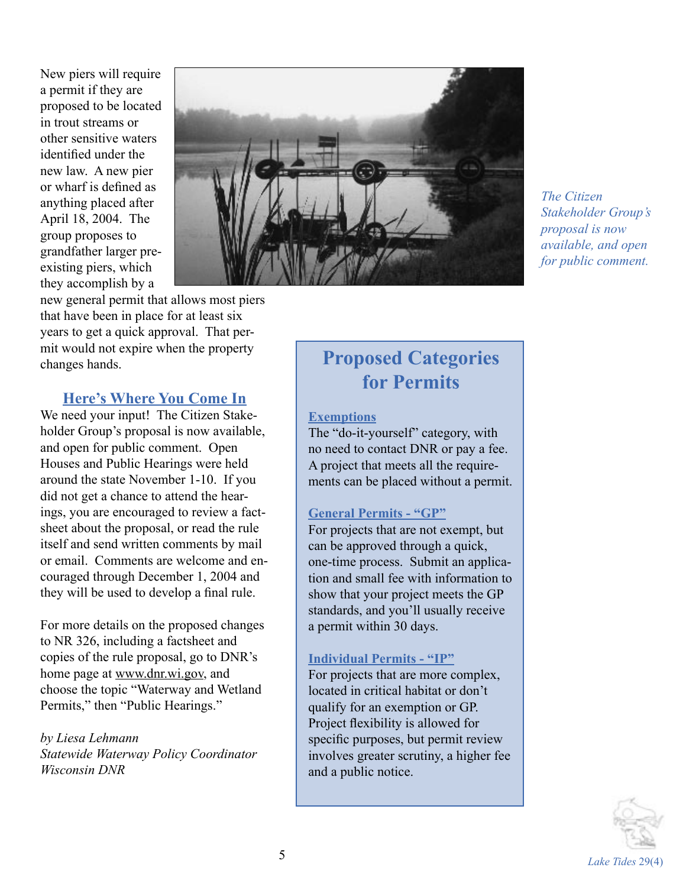New piers will require a permit if they are proposed to be located in trout streams or other sensitive waters identified under the new law. A new pier or wharf is defined as anything placed after April 18, 2004. The group proposes to grandfather larger preexisting piers, which they accomplish by a



*The Citizen Stakeholder Group's proposal is now available, and open for public comment.*

new general permit that allows most piers that have been in place for at least six years to get a quick approval. That permit would not expire when the property changes hands.

#### **Here's Where You Come In**

We need your input! The Citizen Stakeholder Group's proposal is now available, and open for public comment. Open Houses and Public Hearings were held around the state November 1-10. If you did not get a chance to attend the hearings, you are encouraged to review a factsheet about the proposal, or read the rule itself and send written comments by mail or email. Comments are welcome and encouraged through December 1, 2004 and they will be used to develop a final rule.

For more details on the proposed changes to NR 326, including a factsheet and copies of the rule proposal, go to DNR's home page at www.dnr.wi.gov, and choose the topic "Waterway and Wetland Permits," then "Public Hearings."

*by Liesa Lehmann Statewide Waterway Policy Coordinator Wisconsin DNR*

# **Proposed Categories for Permits**

#### **Exemptions**

The "do-it-yourself" category, with no need to contact DNR or pay a fee. A project that meets all the requirements can be placed without a permit.

#### **General Permits - "GP"**

For projects that are not exempt, but can be approved through a quick, one-time process. Submit an application and small fee with information to show that your project meets the GP standards, and you'll usually receive a permit within 30 days.

#### **Individual Permits - "IP"**

For projects that are more complex, located in critical habitat or don't qualify for an exemption or GP. Project flexibility is allowed for specific purposes, but permit review involves greater scrutiny, a higher fee and a public notice.

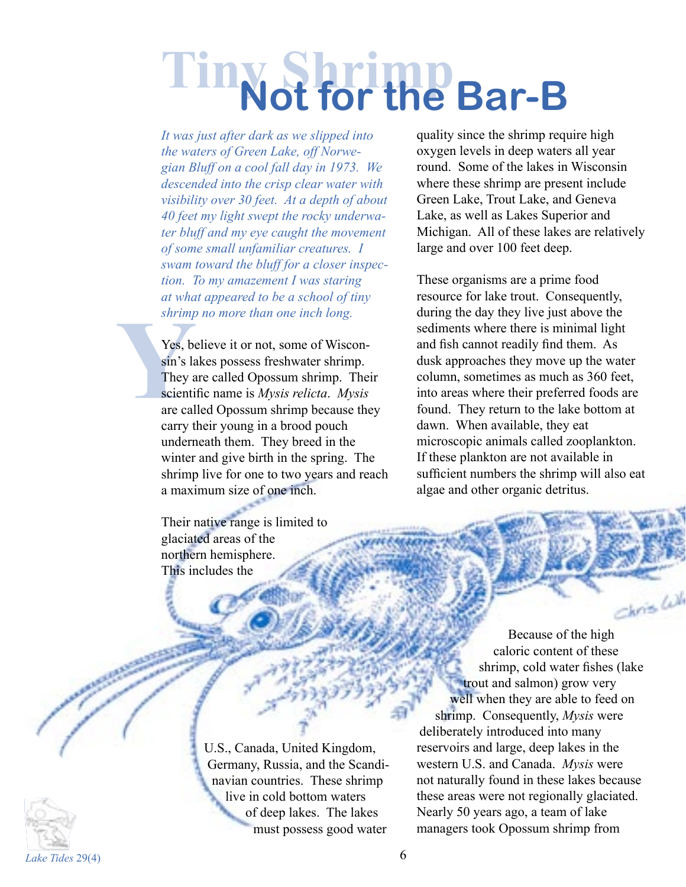# **Tiny Shrimp Not for the Bar-B**

*It was just after dark as we slipped into the waters of Green Lake, off Norwegian Bluff on a cool fall day in 1973. We descended into the crisp clear water with visibility over 30 feet. At a depth of about 40 feet my light swept the rocky underwater bluff and my eye caught the movement of some small unfamiliar creatures. I swam toward the bluff for a closer inspection. To my amazement I was staring at what appeared to be a school of tiny shrimp no more than one inch long.* 

**Yes**, become Survivipe Survivipe Survivis La They a scienti are cal Yes, believe it or not, some of Wisconsin's lakes possess freshwater shrimp. They are called Opossum shrimp. Their scientific name is *Mysis relicta*. *Mysis* are called Opossum shrimp because they carry their young in a brood pouch underneath them. They breed in the winter and give birth in the spring. The shrimp live for one to two years and reach a maximum size of one inch.

> Their native range is limited to glaciated areas of the northern hemisphere. This includes the

quality since the shrimp require high oxygen levels in deep waters all year round. Some of the lakes in Wisconsin where these shrimp are present include Green Lake, Trout Lake, and Geneva Lake, as well as Lakes Superior and Michigan. All of these lakes are relatively large and over 100 feet deep.

These organisms are a prime food resource for lake trout. Consequently, during the day they live just above the sediments where there is minimal light and fish cannot readily find them. As dusk approaches they move up the water column, sometimes as much as 360 feet, into areas where their preferred foods are found. They return to the lake bottom at dawn. When available, they eat microscopic animals called zooplankton. If these plankton are not available in sufficient numbers the shrimp will also eat algae and other organic detritus.

Because of the high caloric content of these shrimp, cold water fishes (lake trout and salmon) grow very well when they are able to feed on shrimp. Consequently, *Mysis* were deliberately introduced into many reservoirs and large, deep lakes in the western U.S. and Canada. *Mysis* were not naturally found in these lakes because these areas were not regionally glaciated. Nearly 50 years ago, a team of lake managers took Opossum shrimp from

hois Cul



U.S., Canada, United Kingdom, Germany, Russia, and the Scandinavian countries. These shrimp live in cold bottom waters of deep lakes. The lakes must possess good water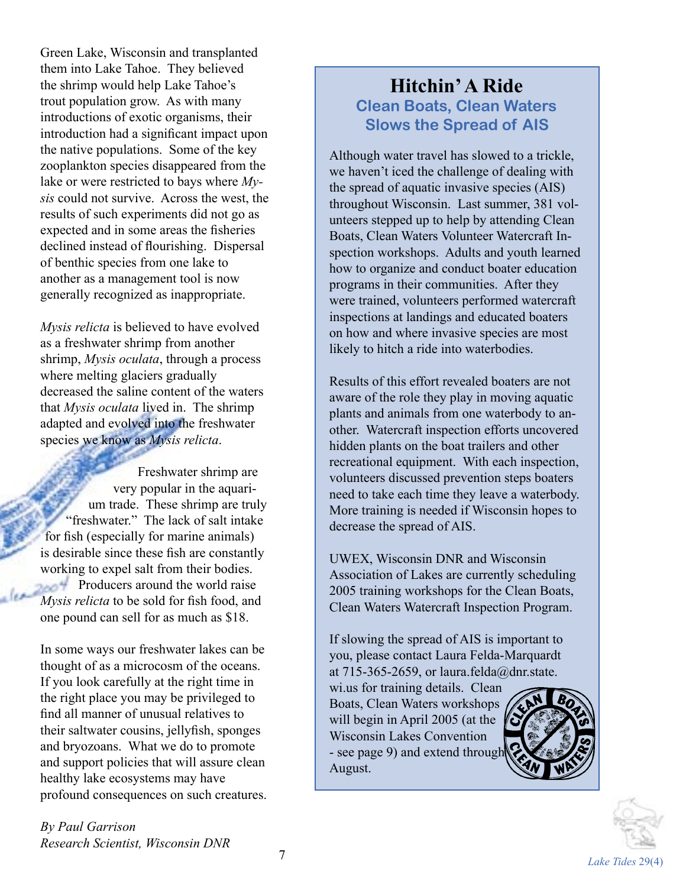Green Lake, Wisconsin and transplanted them into Lake Tahoe. They believed the shrimp would help Lake Tahoe's trout population grow. As with many introductions of exotic organisms, their introduction had a significant impact upon the native populations. Some of the key zooplankton species disappeared from the lake or were restricted to bays where *Mysis* could not survive. Across the west, the results of such experiments did not go as expected and in some areas the fisheries declined instead of flourishing. Dispersal of benthic species from one lake to another as a management tool is now generally recognized as inappropriate.

*Mysis relicta* is believed to have evolved as a freshwater shrimp from another shrimp, *Mysis oculata*, through a process where melting glaciers gradually decreased the saline content of the waters that *Mysis oculata* lived in. The shrimp adapted and evolved into the freshwater species we know as *Mysis relicta*.

Freshwater shrimp are very popular in the aquarium trade. These shrimp are truly "freshwater." The lack of salt intake for fish (especially for marine animals) is desirable since these fish are constantly working to expel salt from their bodies. **Producers around the world raise** *Mysis relicta* to be sold for fish food, and one pound can sell for as much as \$18.

In some ways our freshwater lakes can be thought of as a microcosm of the oceans. If you look carefully at the right time in the right place you may be privileged to find all manner of unusual relatives to their saltwater cousins, jellyfish, sponges and bryozoans. What we do to promote and support policies that will assure clean healthy lake ecosystems may have profound consequences on such creatures.

*By Paul Garrison Research Scientist, Wisconsin DNR*

## **Hitchin' A Ride Clean Boats, Clean Waters Slows the Spread of AIS**

Although water travel has slowed to a trickle, we haven't iced the challenge of dealing with the spread of aquatic invasive species (AIS) throughout Wisconsin. Last summer, 381 volunteers stepped up to help by attending Clean Boats, Clean Waters Volunteer Watercraft Inspection workshops. Adults and youth learned how to organize and conduct boater education programs in their communities. After they were trained, volunteers performed watercraft inspections at landings and educated boaters on how and where invasive species are most likely to hitch a ride into waterbodies.

Results of this effort revealed boaters are not aware of the role they play in moving aquatic plants and animals from one waterbody to another. Watercraft inspection efforts uncovered hidden plants on the boat trailers and other recreational equipment. With each inspection, volunteers discussed prevention steps boaters need to take each time they leave a waterbody. More training is needed if Wisconsin hopes to decrease the spread of AIS.

UWEX, Wisconsin DNR and Wisconsin Association of Lakes are currently scheduling 2005 training workshops for the Clean Boats, Clean Waters Watercraft Inspection Program.

If slowing the spread of AIS is important to you, please contact Laura Felda-Marquardt at 715-365-2659, or laura.felda@dnr.state.

wi.us for training details. Clean Boats, Clean Waters workshops will begin in April 2005 (at the Wisconsin Lakes Convention - see page 9) and extend through August.



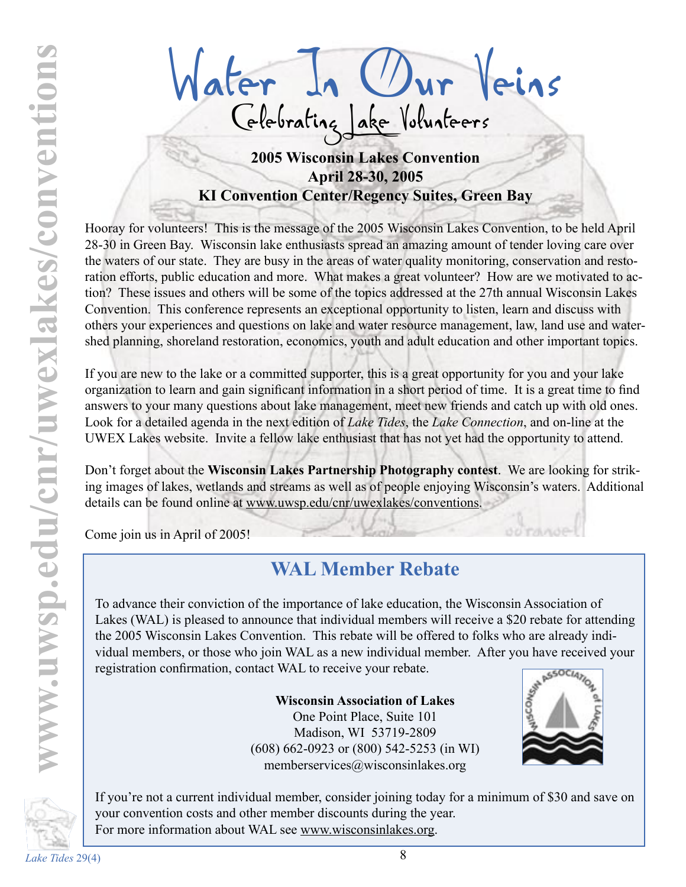Water In Our Veins **2005 Wisconsin Lakes Convention** Celebrating Lake Volunteers

# **April 28-30, 2005 KI Convention Center/Regency Suites, Green Bay**

Hooray for volunteers! This is the message of the 2005 Wisconsin Lakes Convention, to be held April 28-30 in Green Bay. Wisconsin lake enthusiasts spread an amazing amount of tender loving care over the waters of our state. They are busy in the areas of water quality monitoring, conservation and restoration efforts, public education and more. What makes a great volunteer? How are we motivated to action? These issues and others will be some of the topics addressed at the 27th annual Wisconsin Lakes Convention. This conference represents an exceptional opportunity to listen, learn and discuss with others your experiences and questions on lake and water resource management, law, land use and watershed planning, shoreland restoration, economics, youth and adult education and other important topics.

If you are new to the lake or a committed supporter, this is a great opportunity for you and your lake organization to learn and gain significant information in a short period of time. It is a great time to find answers to your many questions about lake management, meet new friends and catch up with old ones. Look for a detailed agenda in the next edition of *Lake Tides*, the *Lake Connection*, and on-line at the UWEX Lakes website. Invite a fellow lake enthusiast that has not yet had the opportunity to attend.

Don't forget about the **Wisconsin Lakes Partnership Photography contest**. We are looking for striking images of lakes, wetlands and streams as well as of people enjoying Wisconsin's waters. Additional details can be found online at www.uwsp.edu/cnr/uwexlakes/conventions.

Come join us in April of 2005!

# **WAL Member Rebate**

To advance their conviction of the importance of lake education, the Wisconsin Association of Lakes (WAL) is pleased to announce that individual members will receive a \$20 rebate for attending the 2005 Wisconsin Lakes Convention. This rebate will be offered to folks who are already individual members, or those who join WAL as a new individual member. After you have received your registration confirmation, contact WAL to receive your rebate.

> **Wisconsin Association of Lakes** One Point Place, Suite 101 Madison, WI 53719-2809 (608) 662-0923 or (800) 542-5253 (in WI) memberservices@wisconsinlakes.org



If you're not a current individual member, consider joining today for a minimum of \$30 and save on your convention costs and other member discounts during the year. For more information about WAL see www.wisconsinlakes.org.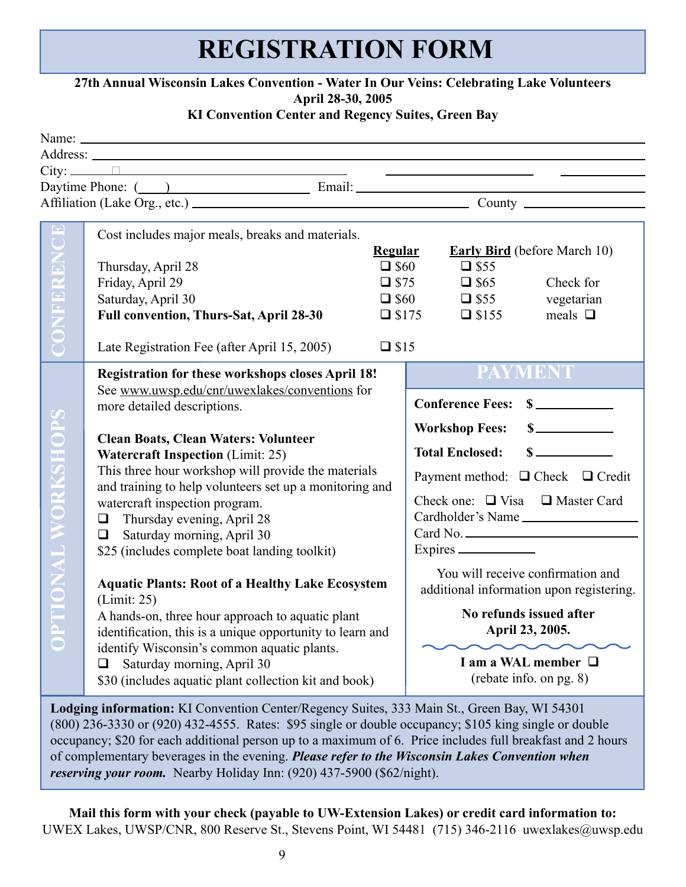# **REGISTRATION FORM**

#### **27th Annual Wisconsin Lakes Convention - Water In Our Veins: Celebrating Lake Volunteers April 28-30, 2005**

#### **KI Convention Center and Regency Suites, Green Bay**

|                                                           | Daytime Phone: ( ) Email: Email: Email: 2007 [2010]                                                                                                                                                                                                                                                                                                                                                                                                                                                                                                                                                                                                                                                                                                                                                                                                        |                                                                    |                                                                                                                                                                                                                                                                                                                                                                                                      |  |
|-----------------------------------------------------------|------------------------------------------------------------------------------------------------------------------------------------------------------------------------------------------------------------------------------------------------------------------------------------------------------------------------------------------------------------------------------------------------------------------------------------------------------------------------------------------------------------------------------------------------------------------------------------------------------------------------------------------------------------------------------------------------------------------------------------------------------------------------------------------------------------------------------------------------------------|--------------------------------------------------------------------|------------------------------------------------------------------------------------------------------------------------------------------------------------------------------------------------------------------------------------------------------------------------------------------------------------------------------------------------------------------------------------------------------|--|
|                                                           |                                                                                                                                                                                                                                                                                                                                                                                                                                                                                                                                                                                                                                                                                                                                                                                                                                                            |                                                                    |                                                                                                                                                                                                                                                                                                                                                                                                      |  |
| $\zeta$ )<br>CONFEREN                                     | Cost includes major meals, breaks and materials.<br>Thursday, April 28<br>Friday, April 29<br>Saturday, April 30<br>Full convention, Thurs-Sat, April 28-30<br>Late Registration Fee (after April 15, 2005)                                                                                                                                                                                                                                                                                                                                                                                                                                                                                                                                                                                                                                                | <b>Regular</b><br>$\Box$ \$60<br>$\square$ \$175<br>$\square$ \$15 | <b>Early Bird</b> (before March 10)<br>$\square$ \$55<br>$\Box$ \$75<br>$\Box$ \$65<br>Check for<br>$\Box$ \$55<br>$\Box$ \$60<br>vegetarian<br>$\Box$ \$155<br>meals $\Box$                                                                                                                                                                                                                         |  |
| <b>TIONAL WORKSHOP</b><br>$\frac{\mathsf{p}}{\mathsf{c}}$ | Registration for these workshops closes April 18!<br>See www.uwsp.edu/cnr/uwexlakes/conventions for<br>more detailed descriptions.<br><b>Clean Boats, Clean Waters: Volunteer</b><br><b>Watercraft Inspection (Limit: 25)</b><br>This three hour workshop will provide the materials<br>and training to help volunteers set up a monitoring and<br>watercraft inspection program.<br>$\Box$ Thursday evening, April 28<br>Saturday morning, April 30<br>$\Box$<br>\$25 (includes complete boat landing toolkit)<br><b>Aquatic Plants: Root of a Healthy Lake Ecosystem</b><br>(Limit: 25)<br>A hands-on, three hour approach to aquatic plant<br>identification, this is a unique opportunity to learn and<br>identify Wisconsin's common aquatic plants.<br>Saturday morning, April 30<br>$\Box$<br>\$30 (includes aquatic plant collection kit and book) |                                                                    | <b>PAYMENT</b><br><b>Conference Fees:</b><br><b>Workshop Fees:</b><br><b>Total Enclosed:</b><br>Payment method: □ Check □ Credit<br>Check one: $\Box$ Visa $\Box$ Master Card<br>Cardholder's Name<br>You will receive confirmation and<br>additional information upon registering.<br>No refunds issued after<br>April 23, 2005.<br>$\sim$ $\sim$<br>I am a WAL member □<br>(rebate info. on pg. 8) |  |

**Lodging information:** KI Convention Center/Regency Suites, 333 Main St., Green Bay, WI 54301 (800) 236-3330 or (920) 432-4555. Rates: \$95 single or double occupancy; \$105 king single or double occupancy; \$20 for each additional person up to a maximum of 6. Price includes full breakfast and 2 hours of complementary beverages in the evening. *Please refer to the Wisconsin Lakes Convention when reserving your room.* Nearby Holiday Inn: (920) 437-5900 (\$62/night).

**Mail this form with your check (payable to UW-Extension Lakes) or credit card information to:** UWEX Lakes, UWSP/CNR, 800 Reserve St., Stevens Point, WI 54481 (715) 346-2116 uwexlakes@uwsp.edu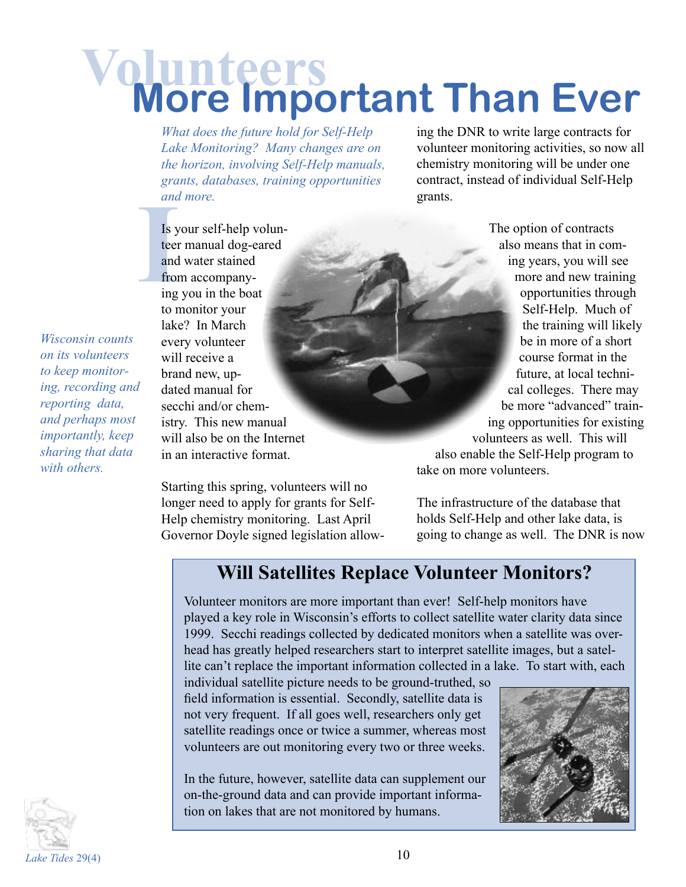# **Volunteers More Important Than Ever**

*What does the future hold for Self-Help Lake Monitoring? Many changes are on the horizon, involving Self-Help manuals, grants, databases, training opportunities and more.*

ing the DNR to write large contracts for volunteer monitoring activities, so now all chemistry monitoring will be under one contract, instead of individual Self-Help grants.

and<br>
Is y<br>
teer<br>
and<br>
from<br>
ing Is your self-help volunteer manual dog-eared and water stained from accompanying you in the boat to monitor your lake? In March every volunteer will receive a brand new, updated manual for secchi and/or chemistry. This new manual will also be on the Internet in an interactive format.

> Starting this spring, volunteers will no longer need to apply for grants for Self-Help chemistry monitoring. Last April Governor Doyle signed legislation allow-

The option of contracts also means that in coming years, you will see more and new training opportunities through Self-Help. Much of the training will likely be in more of a short course format in the future, at local technical colleges. There may be more "advanced" training opportunities for existing volunteers as well. This will

also enable the Self-Help program to take on more volunteers.

The infrastructure of the database that holds Self-Help and other lake data, is going to change as well. The DNR is now

# **Will Satellites Replace Volunteer Monitors?**

Volunteer monitors are more important than ever! Self-help monitors have played a key role in Wisconsin's efforts to collect satellite water clarity data since 1999. Secchi readings collected by dedicated monitors when a satellite was overhead has greatly helped researchers start to interpret satellite images, but a satellite can't replace the important information collected in a lake. To start with, each

individual satellite picture needs to be ground-truthed, so field information is essential. Secondly, satellite data is not very frequent. If all goes well, researchers only get satellite readings once or twice a summer, whereas most volunteers are out monitoring every two or three weeks.

In the future, however, satellite data can supplement our on-the-ground data and can provide important information on lakes that are not monitored by humans.



*Wisconsin counts on its volunteers to keep monitoring, recording and reporting data, and perhaps most importantly, keep sharing that data with others.*

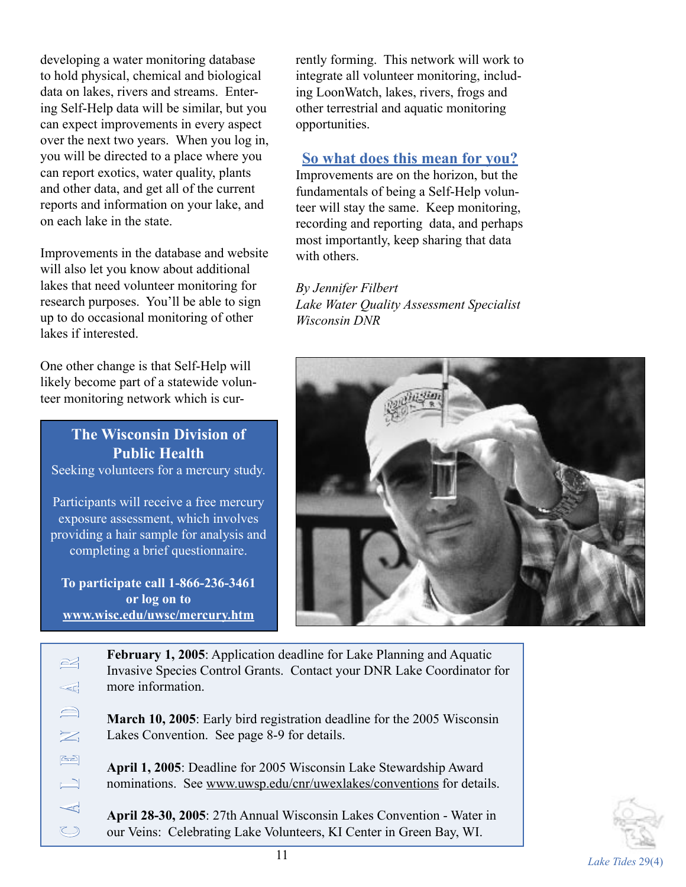developing a water monitoring database to hold physical, chemical and biological data on lakes, rivers and streams. Entering Self-Help data will be similar, but you can expect improvements in every aspect over the next two years. When you log in, you will be directed to a place where you can report exotics, water quality, plants and other data, and get all of the current reports and information on your lake, and on each lake in the state.

Improvements in the database and website will also let you know about additional lakes that need volunteer monitoring for research purposes. You'll be able to sign up to do occasional monitoring of other lakes if interested.

One other change is that Self-Help will likely become part of a statewide volunteer monitoring network which is cur-

**The Wisconsin Division of Public Health** Seeking volunteers for a mercury study.

Participants will receive a free mercury exposure assessment, which involves providing a hair sample for analysis and completing a brief questionnaire.

**To participate call 1-866-236-3461 or log on to www.wisc.edu/uwsc/mercury.htm**

rently forming. This network will work to integrate all volunteer monitoring, including LoonWatch, lakes, rivers, frogs and other terrestrial and aquatic monitoring opportunities.

### **So what does this mean for you?**

Improvements are on the horizon, but the fundamentals of being a Self-Help volunteer will stay the same. Keep monitoring, recording and reporting data, and perhaps most importantly, keep sharing that data with others.

*By Jennifer Filbert Lake Water Quality Assessment Specialist Wisconsin DNR*



| $\approx$                           | <b>February 1, 2005:</b> Application deadline for Lake Planning and Aquatic<br>Invasive Species Control Grants. Contact your DNR Lake Coordinator for |  |
|-------------------------------------|-------------------------------------------------------------------------------------------------------------------------------------------------------|--|
| $\ll$                               | more information.                                                                                                                                     |  |
| $\qquad \qquad \Longleftrightarrow$ | March 10, 2005: Early bird registration deadline for the 2005 Wisconsin                                                                               |  |
| $\geq$                              | Lakes Convention. See page 8-9 for details.                                                                                                           |  |
| $\triangle$                         | April 1, 2005: Deadline for 2005 Wisconsin Lake Stewardship Award                                                                                     |  |
| $\Box$                              | nominations. See www.uwsp.edu/cnr/uwexlakes/conventions for details.                                                                                  |  |
| ⊲                                   | April 28-30, 2005: 27th Annual Wisconsin Lakes Convention - Water in                                                                                  |  |
| $\bigcirc$                          | our Veins: Celebrating Lake Volunteers, KI Center in Green Bay, WI.                                                                                   |  |